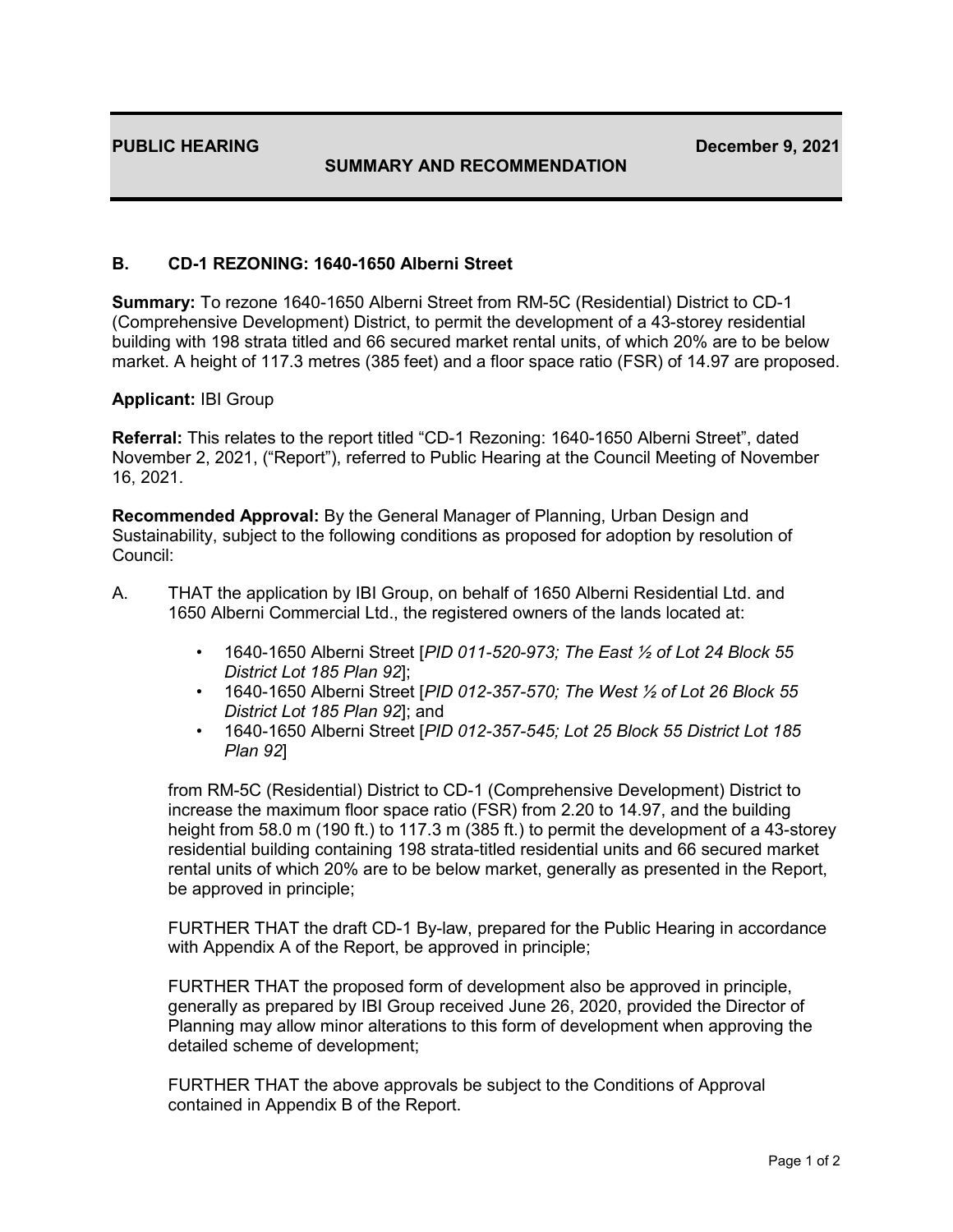## **SUMMARY AND RECOMMENDATION**

## **B. CD-1 REZONING: 1640-1650 Alberni Street**

**Summary:** To rezone 1640-1650 Alberni Street from RM-5C (Residential) District to CD-1 (Comprehensive Development) District, to permit the development of a 43-storey residential building with 198 strata titled and 66 secured market rental units, of which 20% are to be below market. A height of 117.3 metres (385 feet) and a floor space ratio (FSR) of 14.97 are proposed.

## **Applicant:** IBI Group

**Referral:** This relates to the report titled "CD-1 Rezoning: 1640-1650 Alberni Street", dated November 2, 2021, ("Report"), referred to Public Hearing at the Council Meeting of November 16, 2021.

**Recommended Approval:** By the General Manager of Planning, Urban Design and Sustainability, subject to the following conditions as proposed for adoption by resolution of Council:

- A. THAT the application by IBI Group, on behalf of 1650 Alberni Residential Ltd. and 1650 Alberni Commercial Ltd., the registered owners of the lands located at:
	- 1640-1650 Alberni Street [*PID 011-520-973; The East ½ of Lot 24 Block 55 District Lot 185 Plan 92*];
	- 1640-1650 Alberni Street [*PID 012-357-570; The West ½ of Lot 26 Block 55 District Lot 185 Plan 92*]; and
	- 1640-1650 Alberni Street [*PID 012-357-545; Lot 25 Block 55 District Lot 185 Plan 92*]

from RM-5C (Residential) District to CD-1 (Comprehensive Development) District to increase the maximum floor space ratio (FSR) from 2.20 to 14.97, and the building height from 58.0 m (190 ft.) to 117.3 m (385 ft.) to permit the development of a 43-storey residential building containing 198 strata-titled residential units and 66 secured market rental units of which 20% are to be below market, generally as presented in the Report, be approved in principle;

FURTHER THAT the draft CD-1 By-law, prepared for the Public Hearing in accordance with Appendix A of the Report, be approved in principle;

FURTHER THAT the proposed form of development also be approved in principle, generally as prepared by IBI Group received June 26, 2020, provided the Director of Planning may allow minor alterations to this form of development when approving the detailed scheme of development;

FURTHER THAT the above approvals be subject to the Conditions of Approval contained in Appendix B of the Report.